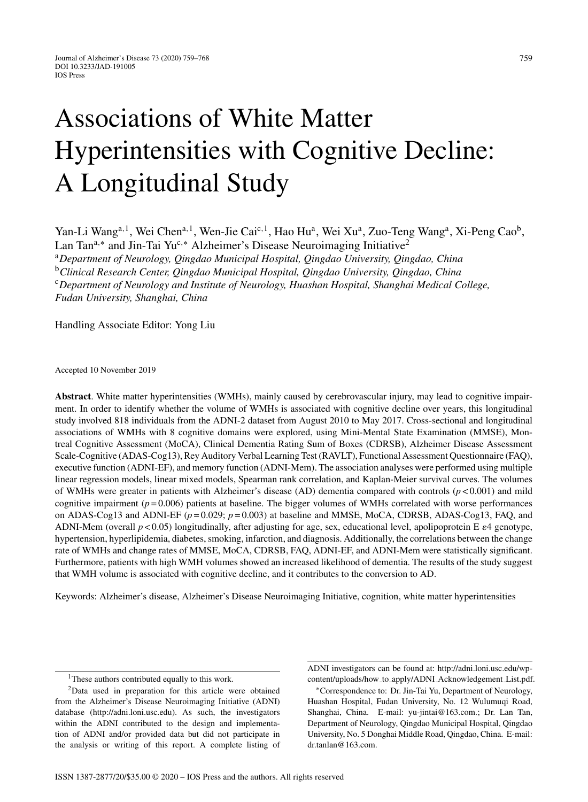# Associations of White Matter Hyperintensities with Cognitive Decline: A Longitudinal Study

Yan-Li Wang<sup>a, 1</sup>, Wei Chen<sup>a, 1</sup>, Wen-Jie Cai<sup>c, 1</sup>, Hao Hu<sup>a</sup>, Wei Xu<sup>a</sup>, Zuo-Teng Wang<sup>a</sup>, Xi-Peng Cao<sup>b</sup>, Lan Tan<sup>a,∗</sup> and Jin-Tai Yu<sup>c,∗</sup> Alzheimer's Disease Neuroimaging Initiative<sup>2</sup> <sup>a</sup>*Department of Neurology, Qingdao Municipal Hospital, Qingdao University, Qingdao, China* <sup>b</sup>*Clinical Research Center, Qingdao Municipal Hospital, Qingdao University, Qingdao, China* <sup>c</sup>*Department of Neurology and Institute of Neurology, Huashan Hospital, Shanghai Medical College, Fudan University, Shanghai, China*

Handling Associate Editor: Yong Liu

Accepted 10 November 2019

**Abstract**. White matter hyperintensities (WMHs), mainly caused by cerebrovascular injury, may lead to cognitive impairment. In order to identify whether the volume of WMHs is associated with cognitive decline over years, this longitudinal study involved 818 individuals from the ADNI-2 dataset from August 2010 to May 2017. Cross-sectional and longitudinal associations of WMHs with 8 cognitive domains were explored, using Mini-Mental State Examination (MMSE), Montreal Cognitive Assessment (MoCA), Clinical Dementia Rating Sum of Boxes (CDRSB), Alzheimer Disease Assessment Scale-Cognitive (ADAS-Cog13), Rey Auditory Verbal Learning Test (RAVLT), Functional Assessment Questionnaire (FAQ), executive function (ADNI-EF), and memory function (ADNI-Mem). The association analyses were performed using multiple linear regression models, linear mixed models, Spearman rank correlation, and Kaplan-Meier survival curves. The volumes of WMHs were greater in patients with Alzheimer's disease (AD) dementia compared with controls (*p* < 0.001) and mild cognitive impairment  $(p = 0.006)$  patients at baseline. The bigger volumes of WMHs correlated with worse performances on ADAS-Cog13 and ADNI-EF (*p* = 0.029; *p* = 0.003) at baseline and MMSE, MoCA, CDRSB, ADAS-Cog13, FAQ, and ADNI-Mem (overall  $p < 0.05$ ) longitudinally, after adjusting for age, sex, educational level, apolipoprotein E  $\varepsilon$ 4 genotype, hypertension, hyperlipidemia, diabetes, smoking, infarction, and diagnosis. Additionally, the correlations between the change rate of WMHs and change rates of MMSE, MoCA, CDRSB, FAQ, ADNI-EF, and ADNI-Mem were statistically significant. Furthermore, patients with high WMH volumes showed an increased likelihood of dementia. The results of the study suggest that WMH volume is associated with cognitive decline, and it contributes to the conversion to AD.

Keywords: Alzheimer's disease, Alzheimer's Disease Neuroimaging Initiative, cognition, white matter hyperintensities

ADNI investigators can be found at: [http://adni.loni.usc.edu/wp](http://adni.loni.usc.edu/wp-content/uploads/how_to_apply/ADNI_Acknowledgement_List.pdf)content/uploads/how to apply/ADNI Acknowledgement List.pdf.

<sup>&</sup>lt;sup>1</sup>These authors contributed equally to this work.

<sup>2</sup>Data used in preparation for this article were obtained from the Alzheimer's Disease Neuroimaging Initiative (ADNI) database [\(http://adni.loni.usc.edu](http://adni.loni.usc.edu)). As such, the investigators within the ADNI contributed to the design and implementation of ADNI and/or provided data but did not participate in the analysis or writing of this report. A complete listing of

<sup>∗</sup>Correspondence to: Dr. Jin-Tai Yu, Department of Neurology, Huashan Hospital, Fudan University, No. 12 Wulumuqi Road, Shanghai, China. E-mail: [yu-jintai@163.com](mailto:yu-jintai@163.com).; Dr. Lan Tan, Department of Neurology, Qingdao Municipal Hospital, Qingdao University, No. 5 Donghai Middle Road, Qingdao, China. E-mail: [dr.tanlan@163.com.](mailto:dr.tanlan@163.com)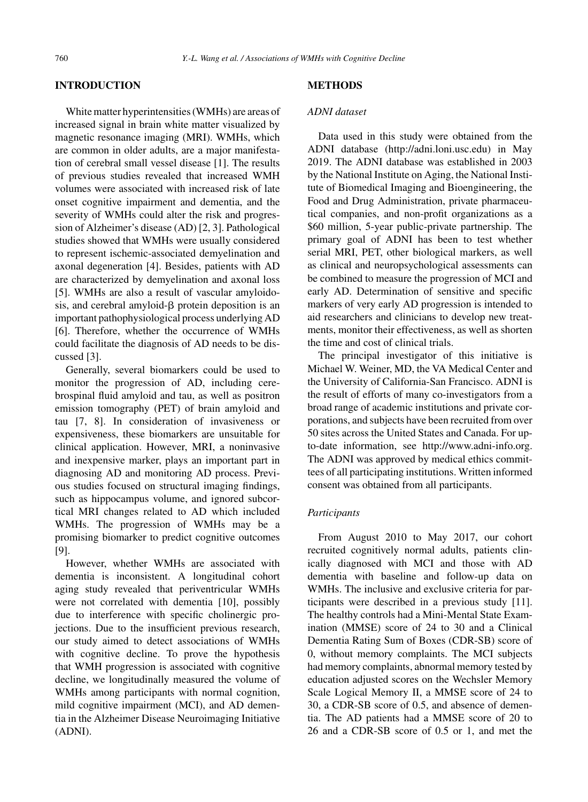# **INTRODUCTION**

White matter hyperintensities (WMHs) are areas of increased signal in brain white matter visualized by magnetic resonance imaging (MRI). WMHs, which are common in older adults, are a major manifestation of cerebral small vessel disease [1]. The results of previous studies revealed that increased WMH volumes were associated with increased risk of late onset cognitive impairment and dementia, and the severity of WMHs could alter the risk and progression of Alzheimer's disease (AD) [2, 3]. Pathological studies showed that WMHs were usually considered to represent ischemic-associated demyelination and axonal degeneration [4]. Besides, patients with AD are characterized by demyelination and axonal loss [5]. WMHs are also a result of vascular amyloidosis, and cerebral amyloid- $\beta$  protein deposition is an important pathophysiological process underlying AD [6]. Therefore, whether the occurrence of WMHs could facilitate the diagnosis of AD needs to be discussed [3].

Generally, several biomarkers could be used to monitor the progression of AD, including cerebrospinal fluid amyloid and tau, as well as positron emission tomography (PET) of brain amyloid and tau [7, 8]. In consideration of invasiveness or expensiveness, these biomarkers are unsuitable for clinical application. However, MRI, a noninvasive and inexpensive marker, plays an important part in diagnosing AD and monitoring AD process. Previous studies focused on structural imaging findings, such as hippocampus volume, and ignored subcortical MRI changes related to AD which included WMHs. The progression of WMHs may be a promising biomarker to predict cognitive outcomes [9].

However, whether WMHs are associated with dementia is inconsistent. A longitudinal cohort aging study revealed that periventricular WMHs were not correlated with dementia [10], possibly due to interference with specific cholinergic projections. Due to the insufficient previous research, our study aimed to detect associations of WMHs with cognitive decline. To prove the hypothesis that WMH progression is associated with cognitive decline, we longitudinally measured the volume of WMHs among participants with normal cognition, mild cognitive impairment (MCI), and AD dementia in the Alzheimer Disease Neuroimaging Initiative (ADNI).

# **METHODS**

# *ADNI dataset*

Data used in this study were obtained from the ADNI database (<http://adni.loni.usc.edu>) in May 2019. The ADNI database was established in 2003 by the National Institute on Aging, the National Institute of Biomedical Imaging and Bioengineering, the Food and Drug Administration, private pharmaceutical companies, and non-profit organizations as a \$60 million, 5-year public-private partnership. The primary goal of ADNI has been to test whether serial MRI, PET, other biological markers, as well as clinical and neuropsychological assessments can be combined to measure the progression of MCI and early AD. Determination of sensitive and specific markers of very early AD progression is intended to aid researchers and clinicians to develop new treatments, monitor their effectiveness, as well as shorten the time and cost of clinical trials.

The principal investigator of this initiative is Michael W. Weiner, MD, the VA Medical Center and the University of California-San Francisco. ADNI is the result of efforts of many co-investigators from a broad range of academic institutions and private corporations, and subjects have been recruited from over 50 sites across the United States and Canada. For upto-date information, see [http://www.adni-info.org.](http://www.adni-info.org) The ADNI was approved by medical ethics committees of all participating institutions. Written informed consent was obtained from all participants.

#### *Participants*

From August 2010 to May 2017, our cohort recruited cognitively normal adults, patients clinically diagnosed with MCI and those with AD dementia with baseline and follow-up data on WMHs. The inclusive and exclusive criteria for participants were described in a previous study [11]. The healthy controls had a Mini-Mental State Examination (MMSE) score of 24 to 30 and a Clinical Dementia Rating Sum of Boxes (CDR-SB) score of 0, without memory complaints. The MCI subjects had memory complaints, abnormal memory tested by education adjusted scores on the Wechsler Memory Scale Logical Memory II, a MMSE score of 24 to 30, a CDR-SB score of 0.5, and absence of dementia. The AD patients had a MMSE score of 20 to 26 and a CDR-SB score of 0.5 or 1, and met the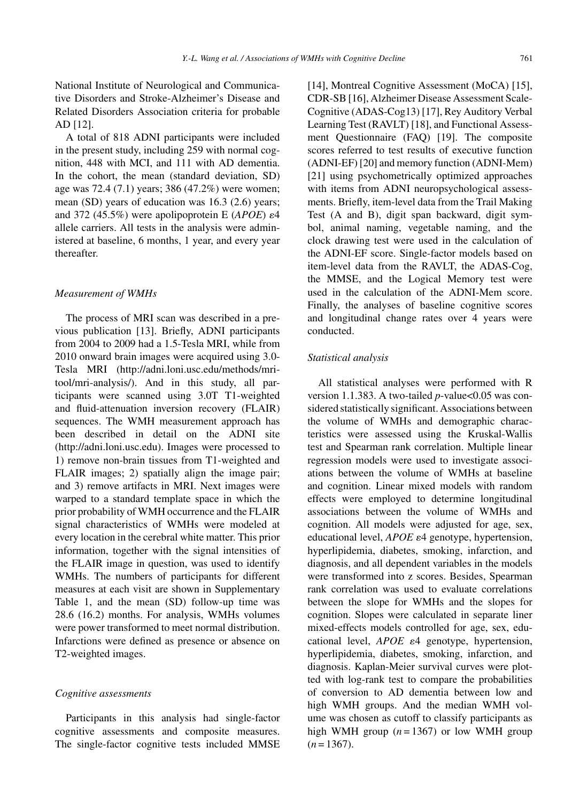National Institute of Neurological and Communicative Disorders and Stroke-Alzheimer's Disease and Related Disorders Association criteria for probable AD [12].

A total of 818 ADNI participants were included in the present study, including 259 with normal cognition, 448 with MCI, and 111 with AD dementia. In the cohort, the mean (standard deviation, SD) age was 72.4 (7.1) years; 386 (47.2%) were women; mean (SD) years of education was 16.3 (2.6) years; and 372 (45.5%) were apolipoprotein E ( $APOE$ )  $\varepsilon$ 4 allele carriers. All tests in the analysis were administered at baseline, 6 months, 1 year, and every year thereafter.

#### *Measurement of WMHs*

The process of MRI scan was described in a previous publication [13]. Briefly, ADNI participants from 2004 to 2009 had a 1.5-Tesla MRI, while from 2010 onward brain images were acquired using 3.0- Tesla MRI [\(http://adni.loni.usc.edu/methods/mri](http://adni.loni.usc.edu/methods/mri-tool/mri-analysis/)tool/mri-analysis/). And in this study, all participants were scanned using 3.0T T1-weighted and fluid-attenuation inversion recovery (FLAIR) sequences. The WMH measurement approach has been described in detail on the ADNI site [\(http://adni.loni.usc.edu\)](http://adni.loni.usc.edu). Images were processed to 1) remove non-brain tissues from T1-weighted and FLAIR images; 2) spatially align the image pair; and 3) remove artifacts in MRI. Next images were warped to a standard template space in which the prior probability of WMH occurrence and the FLAIR signal characteristics of WMHs were modeled at every location in the cerebral white matter. This prior information, together with the signal intensities of the FLAIR image in question, was used to identify WMHs. The numbers of participants for different measures at each visit are shown in Supplementary Table 1, and the mean (SD) follow-up time was 28.6 (16.2) months. For analysis, WMHs volumes were power transformed to meet normal distribution. Infarctions were defined as presence or absence on T2-weighted images.

#### *Cognitive assessments*

Participants in this analysis had single-factor cognitive assessments and composite measures. The single-factor cognitive tests included MMSE [14], Montreal Cognitive Assessment (MoCA) [15], CDR-SB [16], Alzheimer Disease Assessment Scale-Cognitive (ADAS-Cog13) [17], Rey Auditory Verbal Learning Test (RAVLT) [18], and Functional Assessment Questionnaire (FAQ) [19]. The composite scores referred to test results of executive function (ADNI-EF) [20] and memory function (ADNI-Mem) [21] using psychometrically optimized approaches with items from ADNI neuropsychological assessments. Briefly, item-level data from the Trail Making Test (A and B), digit span backward, digit symbol, animal naming, vegetable naming, and the clock drawing test were used in the calculation of the ADNI-EF score. Single-factor models based on item-level data from the RAVLT, the ADAS-Cog, the MMSE, and the Logical Memory test were used in the calculation of the ADNI-Mem score. Finally, the analyses of baseline cognitive scores and longitudinal change rates over 4 years were conducted.

# *Statistical analysis*

All statistical analyses were performed with R version 1.1.383. A two-tailed *p*-value<0.05 was considered statistically significant. Associations between the volume of WMHs and demographic characteristics were assessed using the Kruskal-Wallis test and Spearman rank correlation. Multiple linear regression models were used to investigate associations between the volume of WMHs at baseline and cognition. Linear mixed models with random effects were employed to determine longitudinal associations between the volume of WMHs and cognition. All models were adjusted for age, sex, educational level, *APOE*  $\varepsilon$ 4 genotype, hypertension, hyperlipidemia, diabetes, smoking, infarction, and diagnosis, and all dependent variables in the models were transformed into z scores. Besides, Spearman rank correlation was used to evaluate correlations between the slope for WMHs and the slopes for cognition. Slopes were calculated in separate liner mixed-effects models controlled for age, sex, educational level, *APOE*  $\varepsilon$ 4 genotype, hypertension, hyperlipidemia, diabetes, smoking, infarction, and diagnosis. Kaplan-Meier survival curves were plotted with log-rank test to compare the probabilities of conversion to AD dementia between low and high WMH groups. And the median WMH volume was chosen as cutoff to classify participants as high WMH group  $(n = 1367)$  or low WMH group  $(n=1367)$ .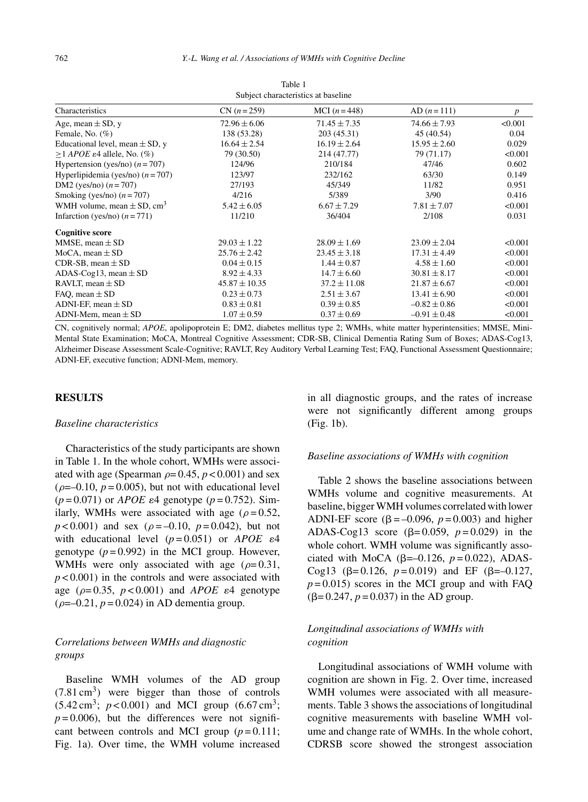| Characteristics                            | $CN (n=259)$      | MCI $(n=448)$    | $AD (n=111)$     | $\boldsymbol{p}$ |  |  |  |
|--------------------------------------------|-------------------|------------------|------------------|------------------|--|--|--|
| Age, mean $\pm$ SD, y                      | $72.96 \pm 6.06$  | $71.45 \pm 7.35$ | $74.66 \pm 7.93$ | < 0.001          |  |  |  |
| Female, No. $(\%)$                         | 138 (53.28)       | 203 (45.31)      | 45 (40.54)       | 0.04             |  |  |  |
| Educational level, mean $\pm$ SD, y        | $16.64 \pm 2.54$  | $16.19 \pm 2.64$ | $15.95 \pm 2.60$ | 0.029            |  |  |  |
| $>1$ APOE $\varepsilon$ 4 allele, No. (%)  | 79 (30.50)        | 214 (47.77)      | 79 (71.17)       | < 0.001          |  |  |  |
| Hypertension (yes/no) $(n = 707)$          | 124/96            | 210/184          | 47/46            | 0.602            |  |  |  |
| Hyperlipidemia (yes/no) $(n = 707)$        | 123/97            | 232/162          | 63/30            | 0.149            |  |  |  |
| DM2 (yes/no) $(n = 707)$                   | 27/193            | 45/349           | 11/82            | 0.951            |  |  |  |
| Smoking (yes/no) $(n=707)$                 | 4/216             | 5/389            | 3/90             | 0.416            |  |  |  |
| WMH volume, mean $\pm$ SD, cm <sup>3</sup> | $5.42 \pm 6.05$   | $6.67 \pm 7.29$  | $7.81 \pm 7.07$  | < 0.001          |  |  |  |
| Infarction (yes/no) $(n=771)$              | 11/210            | 36/404           | 2/108            | 0.031            |  |  |  |
| <b>Cognitive score</b>                     |                   |                  |                  |                  |  |  |  |
| MMSE, mean $\pm$ SD                        | $29.03 \pm 1.22$  | $28.09 \pm 1.69$ | $23.09 \pm 2.04$ | < 0.001          |  |  |  |
| MoCA, mean $\pm$ SD                        | $25.76 \pm 2.42$  | $23.45 \pm 3.18$ | $17.31 \pm 4.49$ | < 0.001          |  |  |  |
| CDR-SB, mean $\pm$ SD                      | $0.04 \pm 0.15$   | $1.44 \pm 0.87$  | $4.58 \pm 1.60$  | < 0.001          |  |  |  |
| ADAS-Cog13, mean $\pm$ SD                  | $8.92 \pm 4.33$   | $14.7 \pm 6.60$  | $30.81 \pm 8.17$ | < 0.001          |  |  |  |
| RAVLT, mean $\pm$ SD                       | $45.87 \pm 10.35$ | $37.2 \pm 11.08$ | $21.87 \pm 6.67$ | < 0.001          |  |  |  |
| FAO, mean $\pm$ SD                         | $0.23 \pm 0.73$   | $2.51 \pm 3.67$  | $13.41 \pm 6.90$ | < 0.001          |  |  |  |
| ADNI-EF, mean $\pm$ SD                     | $0.83 \pm 0.81$   | $0.39 \pm 0.85$  | $-0.82 \pm 0.86$ | < 0.001          |  |  |  |
| ADNI-Mem, mean $\pm$ SD                    | $1.07 \pm 0.59$   | $0.37 \pm 0.69$  | $-0.91 \pm 0.48$ | < 0.001          |  |  |  |

Table 1 Subject characteristics at baseline

CN, cognitively normal; *APOE*, apolipoprotein E; DM2, diabetes mellitus type 2; WMHs, white matter hyperintensities; MMSE, Mini-Mental State Examination; MoCA, Montreal Cognitive Assessment; CDR-SB, Clinical Dementia Rating Sum of Boxes; ADAS-Cog13, Alzheimer Disease Assessment Scale-Cognitive; RAVLT, Rey Auditory Verbal Learning Test; FAQ, Functional Assessment Questionnaire; ADNI-EF, executive function; ADNI-Mem, memory.

#### **RESULTS**

#### *Baseline characteristics*

Characteristics of the study participants are shown in Table 1. In the whole cohort, WMHs were associated with age (Spearman  $\rho = 0.45$ ,  $p < 0.001$ ) and sex  $(\rho=-0.10, p=0.005)$ , but not with educational level  $(p=0.071)$  or *APOE*  $\epsilon$ 4 genotype  $(p=0.752)$ . Similarly, WMHs were associated with age ( $\rho = 0.52$ ,  $p < 0.001$ ) and sex ( $\rho = -0.10$ ,  $p = 0.042$ ), but not with educational level  $(p=0.051)$  or  $APOE$   $\varepsilon$ 4 genotype  $(p=0.992)$  in the MCI group. However, WMHs were only associated with age ( $\rho = 0.31$ ,  $p < 0.001$ ) in the controls and were associated with age ( $\rho$ =0.35,  $p$ <0.001) and *APOE*  $\varepsilon$ 4 genotype  $(\rho = -0.21, p = 0.024)$  in AD dementia group.

# *Correlations between WMHs and diagnostic groups*

Baseline WMH volumes of the AD group  $(7.81 \text{ cm}^3)$  were bigger than those of controls  $(5.42 \text{ cm}^3; p < 0.001)$  and MCI group  $(6.67 \text{ cm}^3;$  $p = 0.006$ , but the differences were not significant between controls and MCI group  $(p=0.111)$ ; Fig. 1a). Over time, the WMH volume increased in all diagnostic groups, and the rates of increase were not significantly different among groups (Fig. 1b).

#### *Baseline associations of WMHs with cognition*

Table 2 shows the baseline associations between WMHs volume and cognitive measurements. At baseline, bigger WMH volumes correlated with lower ADNI-EF score ( $\beta$  = -0.096,  $p$  = 0.003) and higher ADAS-Cog13 score ( $\beta$ =0.059,  $p$ =0.029) in the whole cohort. WMH volume was significantly associated with MoCA ( $\beta$ =-0.126,  $p$  = 0.022), ADAS-Cog13 ( $\beta$ =0.126,  $p$ =0.019) and EF ( $\beta$ =-0.127,  $p = 0.015$ ) scores in the MCI group and with FAQ  $(\beta = 0.247, p = 0.037)$  in the AD group.

# *Longitudinal associations of WMHs with cognition*

Longitudinal associations of WMH volume with cognition are shown in Fig. 2. Over time, increased WMH volumes were associated with all measurements. Table 3 shows the associations of longitudinal cognitive measurements with baseline WMH volume and change rate of WMHs. In the whole cohort, CDRSB score showed the strongest association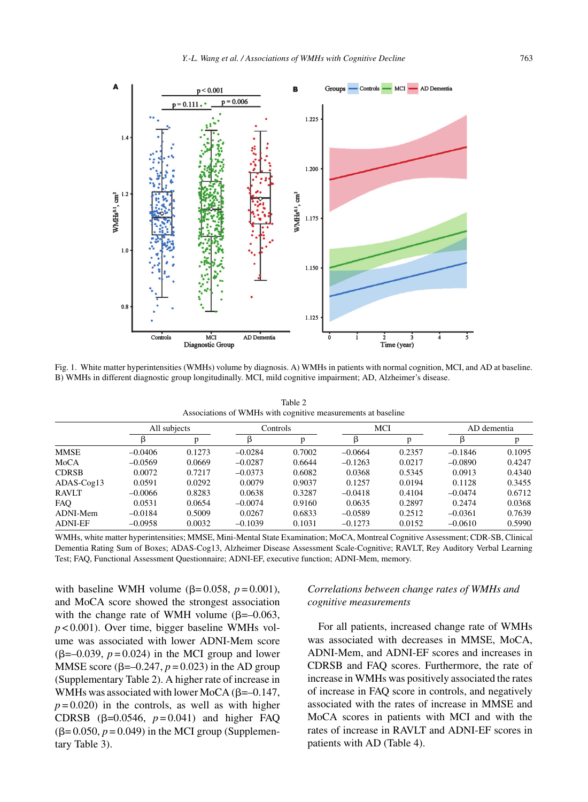

Fig. 1. White matter hyperintensities (WMHs) volume by diagnosis. A) WMHs in patients with normal cognition, MCI, and AD at baseline. B) WMHs in different diagnostic group longitudinally. MCI, mild cognitive impairment; AD, Alzheimer's disease.

Table 2 Associations of WMHs with cognitive measurements at baseline

|                | All subjects |        | Controls  |        | MCI       |        | AD dementia |        |
|----------------|--------------|--------|-----------|--------|-----------|--------|-------------|--------|
|                |              | p      | β         |        |           |        | ß           | p      |
| <b>MMSE</b>    | $-0.0406$    | 0.1273 | $-0.0284$ | 0.7002 | $-0.0664$ | 0.2357 | $-0.1846$   | 0.1095 |
| MoCA           | $-0.0569$    | 0.0669 | $-0.0287$ | 0.6644 | $-0.1263$ | 0.0217 | $-0.0890$   | 0.4247 |
| <b>CDRSB</b>   | 0.0072       | 0.7217 | $-0.0373$ | 0.6082 | 0.0368    | 0.5345 | 0.0913      | 0.4340 |
| ADAS-Cog13     | 0.0591       | 0.0292 | 0.0079    | 0.9037 | 0.1257    | 0.0194 | 0.1128      | 0.3455 |
| <b>RAVLT</b>   | $-0.0066$    | 0.8283 | 0.0638    | 0.3287 | $-0.0418$ | 0.4104 | $-0.0474$   | 0.6712 |
| <b>FAO</b>     | 0.0531       | 0.0654 | $-0.0074$ | 0.9160 | 0.0635    | 0.2897 | 0.2474      | 0.0368 |
| ADNI-Mem       | $-0.0184$    | 0.5009 | 0.0267    | 0.6833 | $-0.0589$ | 0.2512 | $-0.0361$   | 0.7639 |
| <b>ADNI-EF</b> | $-0.0958$    | 0.0032 | $-0.1039$ | 0.1031 | $-0.1273$ | 0.0152 | $-0.0610$   | 0.5990 |

WMHs, white matter hyperintensities; MMSE, Mini-Mental State Examination; MoCA, Montreal Cognitive Assessment; CDR-SB, Clinical Dementia Rating Sum of Boxes; ADAS-Cog13, Alzheimer Disease Assessment Scale-Cognitive; RAVLT, Rey Auditory Verbal Learning Test; FAQ, Functional Assessment Questionnaire; ADNI-EF, executive function; ADNI-Mem, memory.

with baseline WMH volume ( $\beta$ =0.058,  $p$  =0.001), and MoCA score showed the strongest association with the change rate of WMH volume  $(\beta = -0.063,$ *p* < 0.001). Over time, bigger baseline WMHs volume was associated with lower ADNI-Mem score  $(\beta=-0.039, p=0.024)$  in the MCI group and lower MMSE score ( $\beta$ =-0.247,  $p$  = 0.023) in the AD group (Supplementary Table 2). A higher rate of increase in WMHs was associated with lower MoCA ( $\beta$ =-0.147,  $p = 0.020$ ) in the controls, as well as with higher CDRSB ( $\beta$ =0.0546,  $p$ =0.041) and higher FAQ  $(\beta = 0.050, p = 0.049)$  in the MCI group (Supplementary Table 3).

# *Correlations between change rates of WMHs and cognitive measurements*

For all patients, increased change rate of WMHs was associated with decreases in MMSE, MoCA, ADNI-Mem, and ADNI-EF scores and increases in CDRSB and FAQ scores. Furthermore, the rate of increase in WMHs was positively associated the rates of increase in FAQ score in controls, and negatively associated with the rates of increase in MMSE and MoCA scores in patients with MCI and with the rates of increase in RAVLT and ADNI-EF scores in patients with AD (Table 4).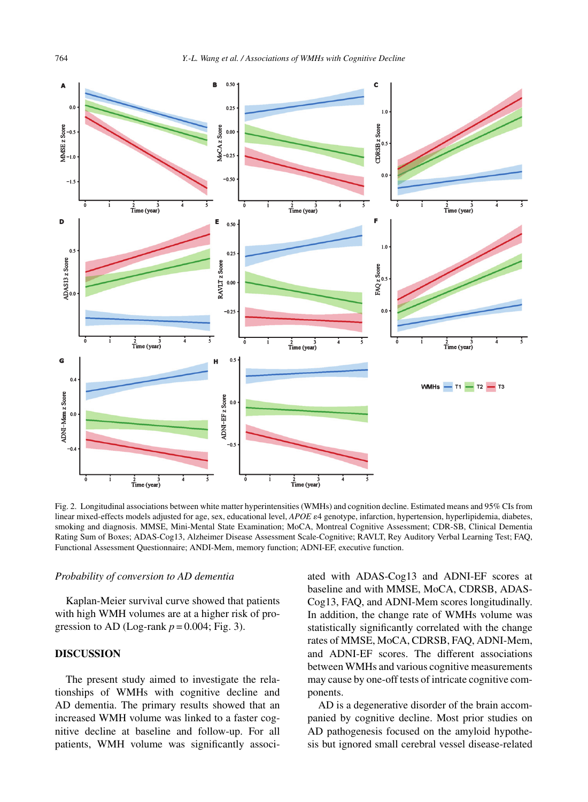

Fig. 2. Longitudinal associations between white matter hyperintensities (WMHs) and cognition decline. Estimated means and 95% CIs from linear mixed-effects models adjusted for age, sex, educational level, APOE e4 genotype, infarction, hypertension, hyperlipidemia, diabetes, smoking and diagnosis. MMSE, Mini-Mental State Examination; MoCA, Montreal Cognitive Assessment; CDR-SB, Clinical Dementia Rating Sum of Boxes; ADAS-Cog13, Alzheimer Disease Assessment Scale-Cognitive; RAVLT, Rey Auditory Verbal Learning Test; FAQ, Functional Assessment Questionnaire; ANDI-Mem, memory function; ADNI-EF, executive function.

## *Probability of conversion to AD dementia*

Kaplan-Meier survival curve showed that patients with high WMH volumes are at a higher risk of progression to AD (Log-rank  $p = 0.004$ ; Fig. 3).

# **DISCUSSION**

The present study aimed to investigate the relationships of WMHs with cognitive decline and AD dementia. The primary results showed that an increased WMH volume was linked to a faster cognitive decline at baseline and follow-up. For all patients, WMH volume was significantly associated with ADAS-Cog13 and ADNI-EF scores at baseline and with MMSE, MoCA, CDRSB, ADAS-Cog13, FAQ, and ADNI-Mem scores longitudinally. In addition, the change rate of WMHs volume was statistically significantly correlated with the change rates of MMSE, MoCA, CDRSB, FAQ, ADNI-Mem, and ADNI-EF scores. The different associations between WMHs and various cognitive measurements may cause by one-off tests of intricate cognitive components.

AD is a degenerative disorder of the brain accompanied by cognitive decline. Most prior studies on AD pathogenesis focused on the amyloid hypothesis but ignored small cerebral vessel disease-related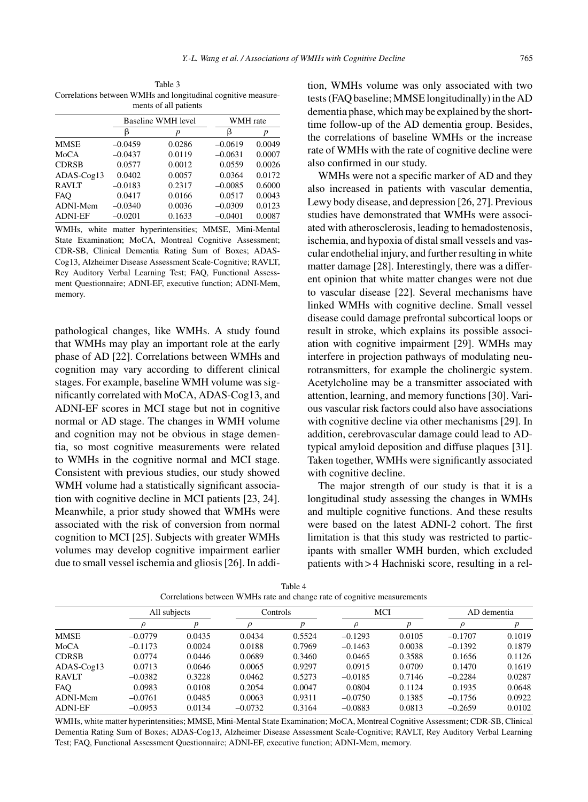Table 3 Correlations between WMHs and longitudinal cognitive measurements of all patients

|                |           | Baseline WMH level | WMH rate  |        |  |
|----------------|-----------|--------------------|-----------|--------|--|
|                | ß         | p                  | ß         | р      |  |
| <b>MMSE</b>    | $-0.0459$ | 0.0286             | $-0.0619$ | 0.0049 |  |
| MoCA           | $-0.0437$ | 0.0119             | $-0.0631$ | 0.0007 |  |
| <b>CDRSB</b>   | 0.0577    | 0.0012             | 0.0559    | 0.0026 |  |
| ADAS-Cog13     | 0.0402    | 0.0057             | 0.0364    | 0.0172 |  |
| <b>RAVLT</b>   | $-0.0183$ | 0.2317             | $-0.0085$ | 0.6000 |  |
| <b>FAO</b>     | 0.0417    | 0.0166             | 0.0517    | 0.0043 |  |
| ADNI-Mem       | $-0.0340$ | 0.0036             | $-0.0309$ | 0.0123 |  |
| <b>ADNI-EF</b> | $-0.0201$ | 0.1633             | $-0.0401$ | 0.0087 |  |

WMHs, white matter hyperintensities; MMSE, Mini-Mental State Examination; MoCA, Montreal Cognitive Assessment; CDR-SB, Clinical Dementia Rating Sum of Boxes; ADAS-Cog13, Alzheimer Disease Assessment Scale-Cognitive; RAVLT, Rey Auditory Verbal Learning Test; FAQ, Functional Assessment Questionnaire; ADNI-EF, executive function; ADNI-Mem, memory.

pathological changes, like WMHs. A study found that WMHs may play an important role at the early phase of AD [22]. Correlations between WMHs and cognition may vary according to different clinical stages. For example, baseline WMH volume was significantly correlated with MoCA, ADAS-Cog13, and ADNI-EF scores in MCI stage but not in cognitive normal or AD stage. The changes in WMH volume and cognition may not be obvious in stage dementia, so most cognitive measurements were related to WMHs in the cognitive normal and MCI stage. Consistent with previous studies, our study showed WMH volume had a statistically significant association with cognitive decline in MCI patients [23, 24]. Meanwhile, a prior study showed that WMHs were associated with the risk of conversion from normal cognition to MCI [25]. Subjects with greater WMHs volumes may develop cognitive impairment earlier due to small vessel ischemia and gliosis [26]. In addition, WMHs volume was only associated with two tests (FAQ baseline; MMSE longitudinally) in the AD dementia phase, which may be explained by the shorttime follow-up of the AD dementia group. Besides, the correlations of baseline WMHs or the increase rate of WMHs with the rate of cognitive decline were also confirmed in our study.

WMHs were not a specific marker of AD and they also increased in patients with vascular dementia, Lewy body disease, and depression [26, 27]. Previous studies have demonstrated that WMHs were associated with atherosclerosis, leading to hemadostenosis, ischemia, and hypoxia of distal small vessels and vascular endothelial injury, and further resulting in white matter damage [28]. Interestingly, there was a different opinion that white matter changes were not due to vascular disease [22]. Several mechanisms have linked WMHs with cognitive decline. Small vessel disease could damage prefrontal subcortical loops or result in stroke, which explains its possible association with cognitive impairment [29]. WMHs may interfere in projection pathways of modulating neurotransmitters, for example the cholinergic system. Acetylcholine may be a transmitter associated with attention, learning, and memory functions [30]. Various vascular risk factors could also have associations with cognitive decline via other mechanisms [29]. In addition, cerebrovascular damage could lead to ADtypical amyloid deposition and diffuse plaques [31]. Taken together, WMHs were significantly associated with cognitive decline.

The major strength of our study is that it is a longitudinal study assessing the changes in WMHs and multiple cognitive functions. And these results were based on the latest ADNI-2 cohort. The first limitation is that this study was restricted to participants with smaller WMH burden, which excluded patients with > 4 Hachniski score, resulting in a rel-

| contentions securem within this time and enample three of cognitive memoritance |              |        |           |        |           |        |             |        |
|---------------------------------------------------------------------------------|--------------|--------|-----------|--------|-----------|--------|-------------|--------|
|                                                                                 | All subjects |        | Controls  |        | MCI       |        | AD dementia |        |
|                                                                                 |              |        | $\rho$    |        |           |        |             |        |
| <b>MMSE</b>                                                                     | $-0.0779$    | 0.0435 | 0.0434    | 0.5524 | $-0.1293$ | 0.0105 | $-0.1707$   | 0.1019 |
| MoCA                                                                            | $-0.1173$    | 0.0024 | 0.0188    | 0.7969 | $-0.1463$ | 0.0038 | $-0.1392$   | 0.1879 |
| <b>CDRSB</b>                                                                    | 0.0774       | 0.0446 | 0.0689    | 0.3460 | 0.0465    | 0.3588 | 0.1656      | 0.1126 |
| $ADAS-Cog13$                                                                    | 0.0713       | 0.0646 | 0.0065    | 0.9297 | 0.0915    | 0.0709 | 0.1470      | 0.1619 |
| <b>RAVLT</b>                                                                    | $-0.0382$    | 0.3228 | 0.0462    | 0.5273 | $-0.0185$ | 0.7146 | $-0.2284$   | 0.0287 |
| <b>FAO</b>                                                                      | 0.0983       | 0.0108 | 0.2054    | 0.0047 | 0.0804    | 0.1124 | 0.1935      | 0.0648 |
| ADNI-Mem                                                                        | $-0.0761$    | 0.0485 | 0.0063    | 0.9311 | $-0.0750$ | 0.1385 | $-0.1756$   | 0.0922 |
| <b>ADNI-EF</b>                                                                  | $-0.0953$    | 0.0134 | $-0.0732$ | 0.3164 | $-0.0883$ | 0.0813 | $-0.2659$   | 0.0102 |

Table 4 Correlations between WMHs rate and change rate of cognitive measurements

WMHs, white matter hyperintensities; MMSE, Mini-Mental State Examination; MoCA, Montreal Cognitive Assessment; CDR-SB, Clinical Dementia Rating Sum of Boxes; ADAS-Cog13, Alzheimer Disease Assessment Scale-Cognitive; RAVLT, Rey Auditory Verbal Learning Test; FAQ, Functional Assessment Questionnaire; ADNI-EF, executive function; ADNI-Mem, memory.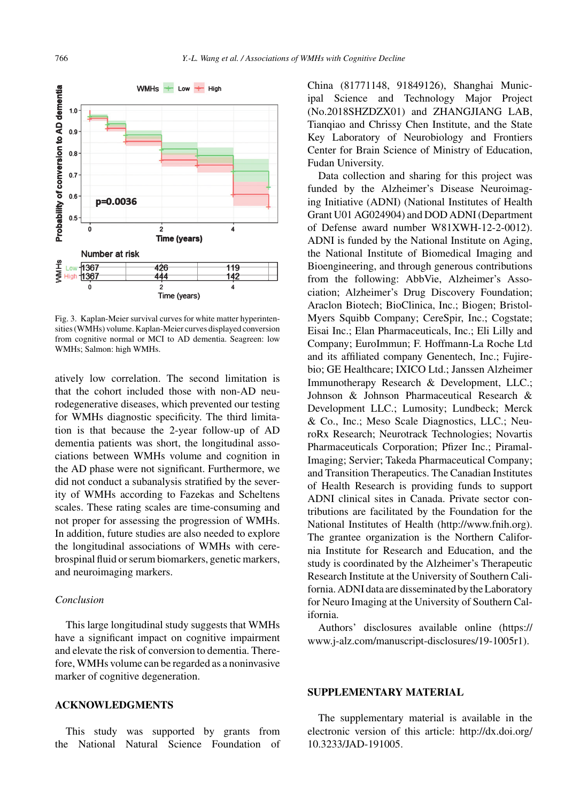

Fig. 3. Kaplan-Meier survival curves for white matter hyperintensities (WMHs) volume. Kaplan-Meier curves displayed conversion from cognitive normal or MCI to AD dementia. Seagreen: low WMHs; Salmon: high WMHs.

atively low correlation. The second limitation is that the cohort included those with non-AD neurodegenerative diseases, which prevented our testing for WMHs diagnostic specificity. The third limitation is that because the 2-year follow-up of AD dementia patients was short, the longitudinal associations between WMHs volume and cognition in the AD phase were not significant. Furthermore, we did not conduct a subanalysis stratified by the severity of WMHs according to Fazekas and Scheltens scales. These rating scales are time-consuming and not proper for assessing the progression of WMHs. In addition, future studies are also needed to explore the longitudinal associations of WMHs with cerebrospinal fluid or serum biomarkers, genetic markers, and neuroimaging markers.

# *Conclusion*

This large longitudinal study suggests that WMHs have a significant impact on cognitive impairment and elevate the risk of conversion to dementia. Therefore, WMHs volume can be regarded as a noninvasive marker of cognitive degeneration.

# **ACKNOWLEDGMENTS**

This study was supported by grants from the National Natural Science Foundation of China (81771148, 91849126), Shanghai Municipal Science and Technology Major Project (No.2018SHZDZX01) and ZHANGJIANG LAB, Tianqiao and Chrissy Chen Institute, and the State Key Laboratory of Neurobiology and Frontiers Center for Brain Science of Ministry of Education, Fudan University.

Data collection and sharing for this project was funded by the Alzheimer's Disease Neuroimaging Initiative (ADNI) (National Institutes of Health Grant U01 AG024904) and DOD ADNI (Department of Defense award number W81XWH-12-2-0012). ADNI is funded by the National Institute on Aging, the National Institute of Biomedical Imaging and Bioengineering, and through generous contributions from the following: AbbVie, Alzheimer's Association; Alzheimer's Drug Discovery Foundation; Araclon Biotech; BioClinica, Inc.; Biogen; Bristol-Myers Squibb Company; CereSpir, Inc.; Cogstate; Eisai Inc.; Elan Pharmaceuticals, Inc.; Eli Lilly and Company; EuroImmun; F. Hoffmann-La Roche Ltd and its affiliated company Genentech, Inc.; Fujirebio; GE Healthcare; IXICO Ltd.; Janssen Alzheimer Immunotherapy Research & Development, LLC.; Johnson & Johnson Pharmaceutical Research & Development LLC.; Lumosity; Lundbeck; Merck & Co., Inc.; Meso Scale Diagnostics, LLC.; NeuroRx Research; Neurotrack Technologies; Novartis Pharmaceuticals Corporation; Pfizer Inc.; Piramal-Imaging; Servier; Takeda Pharmaceutical Company; and Transition Therapeutics. The Canadian Institutes of Health Research is providing funds to support ADNI clinical sites in Canada. Private sector contributions are facilitated by the Foundation for the National Institutes of Health [\(http://www.fnih.org](http://www.fnih.org)). The grantee organization is the Northern California Institute for Research and Education, and the study is coordinated by the Alzheimer's Therapeutic Research Institute at the University of Southern California. ADNI data are disseminated by the Laboratory for Neuro Imaging at the University of Southern California.

Authors' disclosures available online [\(https://](https://www.j-alz.com/manuscript-disclosures/19-1005r1) [www.j-alz.com/manuscript-disclosures/19-1005r1\)](https://www.j-alz.com/manuscript-disclosures/19-1005r1).

## **SUPPLEMENTARY MATERIAL**

The supplementary material is available in the electronic version of this article: [http://dx.doi.org/](http://dx.doi.org/10.3233/JAD-191005) [10.3233/JAD-191005.](http://dx.doi.org/10.3233/JAD-191005)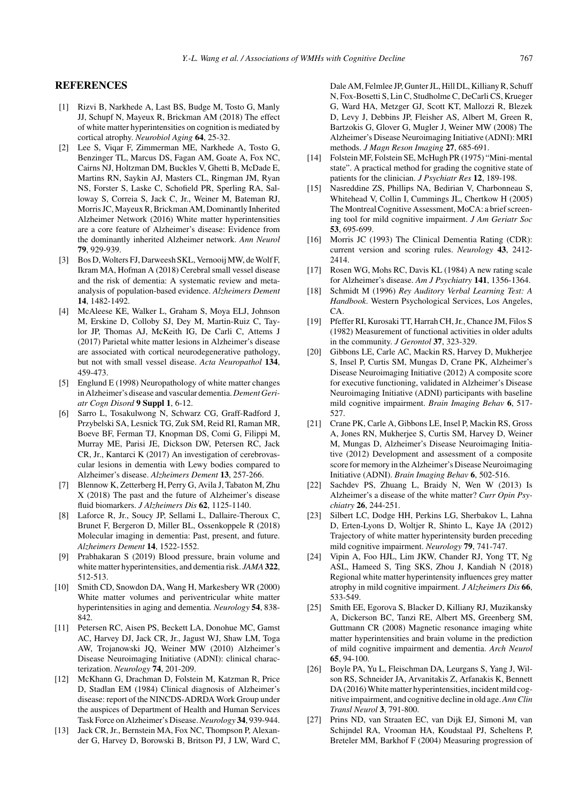## **REFERENCES**

- [1] Rizvi B, Narkhede A, Last BS, Budge M, Tosto G, Manly JJ, Schupf N, Mayeux R, Brickman AM (2018) The effect of white matter hyperintensities on cognition is mediated by cortical atrophy. *Neurobiol Aging* **64**, 25-32.
- [2] Lee S, Viqar F, Zimmerman ME, Narkhede A, Tosto G, Benzinger TL, Marcus DS, Fagan AM, Goate A, Fox NC, Cairns NJ, Holtzman DM, Buckles V, Ghetti B, McDade E, Martins RN, Saykin AJ, Masters CL, Ringman JM, Ryan NS, Forster S, Laske C, Schofield PR, Sperling RA, Salloway S, Correia S, Jack C, Jr., Weiner M, Bateman RJ, Morris JC, Mayeux R, Brickman AM, Dominantly Inherited Alzheimer Network (2016) White matter hyperintensities are a core feature of Alzheimer's disease: Evidence from the dominantly inherited Alzheimer network. *Ann Neurol* **79**, 929-939.
- [3] Bos D, Wolters FJ, Darweesh SKL, Vernooij MW, de Wolf F, Ikram MA, Hofman A (2018) Cerebral small vessel disease and the risk of dementia: A systematic review and metaanalysis of population-based evidence. *Alzheimers Dement* **14**, 1482-1492.
- [4] McAleese KE, Walker L, Graham S, Moya ELJ, Johnson M, Erskine D, Colloby SJ, Dey M, Martin-Ruiz C, Taylor JP, Thomas AJ, McKeith IG, De Carli C, Attems J (2017) Parietal white matter lesions in Alzheimer's disease are associated with cortical neurodegenerative pathology, but not with small vessel disease. *Acta Neuropathol* **134**, 459-473.
- [5] Englund E (1998) Neuropathology of white matter changes in Alzheimer's disease and vascular dementia.*Dement Geriatr Cogn Disord* **9 Suppl 1**, 6-12.
- [6] Sarro L, Tosakulwong N, Schwarz CG, Graff-Radford J, Przybelski SA, Lesnick TG, Zuk SM, Reid RI, Raman MR, Boeve BF, Ferman TJ, Knopman DS, Comi G, Filippi M, Murray ME, Parisi JE, Dickson DW, Petersen RC, Jack CR, Jr., Kantarci K (2017) An investigation of cerebrovascular lesions in dementia with Lewy bodies compared to Alzheimer's disease. *Alzheimers Dement* **13**, 257-266.
- [7] Blennow K, Zetterberg H, Perry G, Avila J, Tabaton M, Zhu X (2018) The past and the future of Alzheimer's disease fluid biomarkers. *J Alzheimers Dis* **62**, 1125-1140.
- [8] Laforce R, Jr., Soucy JP, Sellami L, Dallaire-Theroux C, Brunet F, Bergeron D, Miller BL, Ossenkoppele R (2018) Molecular imaging in dementia: Past, present, and future. *Alzheimers Dement* **14**, 1522-1552.
- [9] Prabhakaran S (2019) Blood pressure, brain volume and white matter hyperintensities, and dementia risk. *JAMA* **322**, 512-513.
- [10] Smith CD, Snowdon DA, Wang H, Markesbery WR (2000) White matter volumes and periventricular white matter hyperintensities in aging and dementia. *Neurology* **54**, 838- 842.
- [11] Petersen RC, Aisen PS, Beckett LA, Donohue MC, Gamst AC, Harvey DJ, Jack CR, Jr., Jagust WJ, Shaw LM, Toga AW, Trojanowski JQ, Weiner MW (2010) Alzheimer's Disease Neuroimaging Initiative (ADNI): clinical characterization. *Neurology* **74**, 201-209.
- [12] McKhann G, Drachman D, Folstein M, Katzman R, Price D, Stadlan EM (1984) Clinical diagnosis of Alzheimer's disease: report of the NINCDS-ADRDA Work Group under the auspices of Department of Health and Human Services Task Force on Alzheimer's Disease.*Neurology* **34**, 939-944.
- [13] Jack CR, Jr., Bernstein MA, Fox NC, Thompson P, Alexander G, Harvey D, Borowski B, Britson PJ, J LW, Ward C,

Dale AM, Felmlee JP, Gunter JL, Hill DL, Killiany R, Schuff N, Fox-Bosetti S, Lin C, Studholme C, DeCarli CS, Krueger G, Ward HA, Metzger GJ, Scott KT, Mallozzi R, Blezek D, Levy J, Debbins JP, Fleisher AS, Albert M, Green R, Bartzokis G, Glover G, Mugler J, Weiner MW (2008) The Alzheimer's Disease Neuroimaging Initiative (ADNI): MRI methods. *J Magn Reson Imaging* **27**, 685-691.

- [14] Folstein MF, Folstein SE, McHugh PR (1975) "Mini-mental state". A practical method for grading the cognitive state of patients for the clinician. *J Psychiatr Res* **12**, 189-198.
- [15] Nasreddine ZS, Phillips NA, Bedirian V, Charbonneau S, Whitehead V, Collin I, Cummings JL, Chertkow H (2005) The Montreal Cognitive Assessment, MoCA: a brief screening tool for mild cognitive impairment. *J Am Geriatr Soc* **53**, 695-699.
- [16] Morris JC (1993) The Clinical Dementia Rating (CDR): current version and scoring rules. *Neurology* **43**, 2412- 2414.
- [17] Rosen WG, Mohs RC, Davis KL (1984) A new rating scale for Alzheimer's disease. *Am J Psychiatry* **141**, 1356-1364.
- [18] Schmidt M (1996) *Rey Auditory Verbal Learning Test: A Handbook*. Western Psychological Services, Los Angeles, CA.
- [19] Pfeffer RI, Kurosaki TT, Harrah CH, Jr., Chance JM, Filos S (1982) Measurement of functional activities in older adults in the community. *J Gerontol* **37**, 323-329.
- [20] Gibbons LE, Carle AC, Mackin RS, Harvey D, Mukherjee S, Insel P, Curtis SM, Mungas D, Crane PK, Alzheimer's Disease Neuroimaging Initiative (2012) A composite score for executive functioning, validated in Alzheimer's Disease Neuroimaging Initiative (ADNI) participants with baseline mild cognitive impairment. *Brain Imaging Behav* **6**, 517- 527.
- [21] Crane PK, Carle A, Gibbons LE, Insel P, Mackin RS, Gross A, Jones RN, Mukherjee S, Curtis SM, Harvey D, Weiner M, Mungas D, Alzheimer's Disease Neuroimaging Initiative (2012) Development and assessment of a composite score for memory in the Alzheimer's Disease Neuroimaging Initiative (ADNI). *Brain Imaging Behav* **6**, 502-516.
- [22] Sachdev PS, Zhuang L, Braidy N, Wen W (2013) Is Alzheimer's a disease of the white matter? *Curr Opin Psychiatry* **26**, 244-251.
- [23] Silbert LC, Dodge HH, Perkins LG, Sherbakov L, Lahna D, Erten-Lyons D, Woltjer R, Shinto L, Kaye JA (2012) Trajectory of white matter hyperintensity burden preceding mild cognitive impairment. *Neurology* **79**, 741-747.
- [24] Vipin A, Foo HJL, Lim JKW, Chander RJ, Yong TT, Ng ASL, Hameed S, Ting SKS, Zhou J, Kandiah N (2018) Regional white matter hyperintensity influences grey matter atrophy in mild cognitive impairment. *J Alzheimers Dis* **66**, 533-549.
- [25] Smith EE, Egorova S, Blacker D, Killiany RJ, Muzikansky A, Dickerson BC, Tanzi RE, Albert MS, Greenberg SM, Guttmann CR (2008) Magnetic resonance imaging white matter hyperintensities and brain volume in the prediction of mild cognitive impairment and dementia. *Arch Neurol* **65**, 94-100.
- [26] Boyle PA, Yu L, Fleischman DA, Leurgans S, Yang J, Wilson RS, Schneider JA, Arvanitakis Z, Arfanakis K, Bennett DA (2016) White matter hyperintensities, incident mild cognitive impairment, and cognitive decline in old age.*Ann Clin Transl Neurol* **3**, 791-800.
- [27] Prins ND, van Straaten EC, van Dijk EJ, Simoni M, van Schijndel RA, Vrooman HA, Koudstaal PJ, Scheltens P, Breteler MM, Barkhof F (2004) Measuring progression of